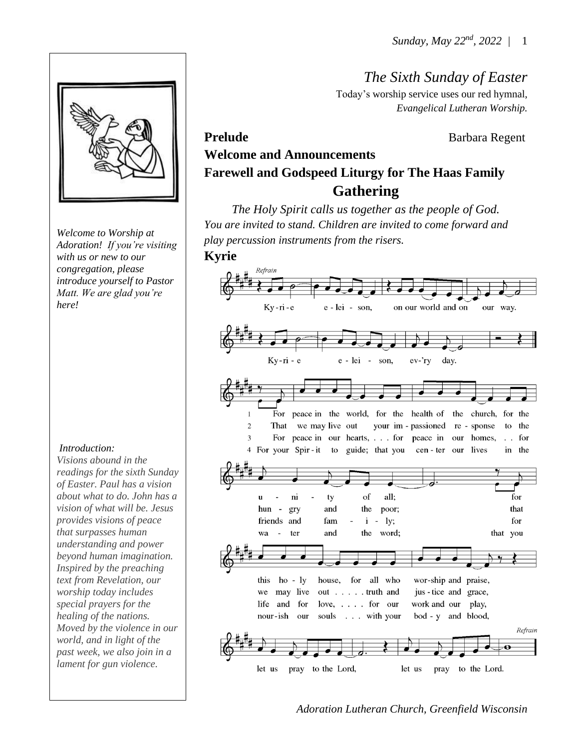*The Sixth Sunday of Easter*

Today's worship service uses our red hymnal, *Evangelical Lutheran Worship.*

Prelude **Barbara Regent** 

# **Welcome and Announcements Farewell and Godspeed Liturgy for The Haas Family Gathering**

*The Holy Spirit calls us together as the people of God. You are invited to stand. Children are invited to come forward and play percussion instruments from the risers.*

#### **Kyrie**



*Welcome to Worship at Adoration! If you're visiting with us or new to our congregation, please introduce yourself to Pastor Matt. We are glad you're* 

#### *Introduction:*

*here!*

*Visions abound in the readings for the sixth Sunday of Easter. Paul has a vision about what to do. John has a vision of what will be. Jesus provides visions of peace that surpasses human understanding and power beyond human imagination. Inspired by the preaching text from Revelation, our worship today includes special prayers for the healing of the nations. Moved by the violence in our world, and in light of the past week, we also join in a lament for gun violence.*

*Adoration Lutheran Church, Greenfield Wisconsin*

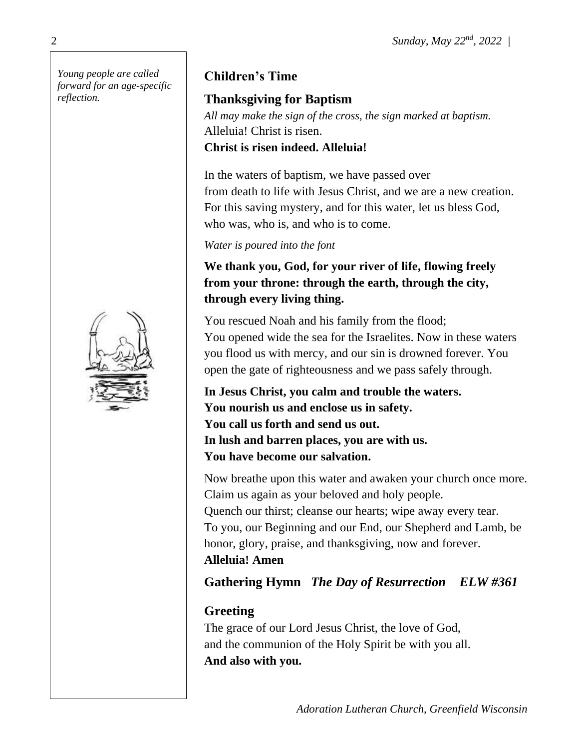*Young people are called forward for an age-specific reflection.*



## **Children's Time**

## **Thanksgiving for Baptism**

*All may make the sign of the cross, the sign marked at baptism.* Alleluia! Christ is risen. **Christ is risen indeed. Alleluia!**

In the waters of baptism, we have passed over from death to life with Jesus Christ, and we are a new creation. For this saving mystery, and for this water, let us bless God, who was, who is, and who is to come.

#### *Water is poured into the font*

**We thank you, God, for your river of life, flowing freely from your throne: through the earth, through the city, through every living thing.**

You rescued Noah and his family from the flood; You opened wide the sea for the Israelites. Now in these waters you flood us with mercy, and our sin is drowned forever. You open the gate of righteousness and we pass safely through.

**In Jesus Christ, you calm and trouble the waters. You nourish us and enclose us in safety. You call us forth and send us out. In lush and barren places, you are with us. You have become our salvation.**

Now breathe upon this water and awaken your church once more. Claim us again as your beloved and holy people. Quench our thirst; cleanse our hearts; wipe away every tear. To you, our Beginning and our End, our Shepherd and Lamb, be honor, glory, praise, and thanksgiving, now and forever. **Alleluia! Amen**

## **Gathering Hymn** *The Day of Resurrection ELW #361*

## **Greeting**

The grace of our Lord Jesus Christ, the love of God, and the communion of the Holy Spirit be with you all. **And also with you.**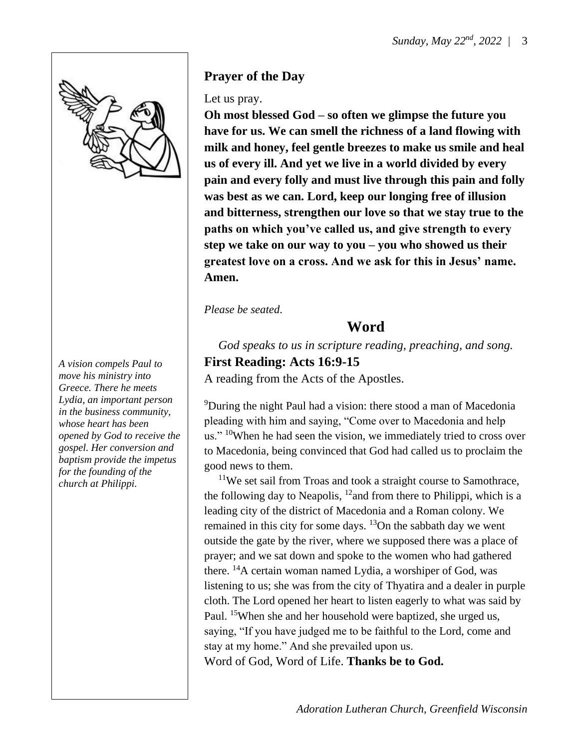

*A vision compels Paul to move his ministry into Greece. There he meets Lydia, an important person in the business community, whose heart has been opened by God to receive the gospel. Her conversion and baptism provide the impetus for the founding of the church at Philippi.*

#### **Prayer of the Day**

#### Let us pray.

**Oh most blessed God – so often we glimpse the future you have for us. We can smell the richness of a land flowing with milk and honey, feel gentle breezes to make us smile and heal us of every ill. And yet we live in a world divided by every pain and every folly and must live through this pain and folly was best as we can. Lord, keep our longing free of illusion and bitterness, strengthen our love so that we stay true to the paths on which you've called us, and give strength to every step we take on our way to you – you who showed us their greatest love on a cross. And we ask for this in Jesus' name. Amen.**

*Please be seated*.

#### **Word**

*God speaks to us in scripture reading, preaching, and song.* **First Reading: Acts 16:9-15**

A reading from the Acts of the Apostles.

<sup>9</sup>During the night Paul had a vision: there stood a man of Macedonia pleading with him and saying, "Come over to Macedonia and help us."  $\rm{^{10}W}$  hen he had seen the vision, we immediately tried to cross over to Macedonia, being convinced that God had called us to proclaim the good news to them.

<sup>11</sup>We set sail from Troas and took a straight course to Samothrace, the following day to Neapolis,  $12$  and from there to Philippi, which is a leading city of the district of Macedonia and a Roman colony. We remained in this city for some days. <sup>13</sup>On the sabbath day we went outside the gate by the river, where we supposed there was a place of prayer; and we sat down and spoke to the women who had gathered there. <sup>14</sup>A certain woman named Lydia, a worshiper of God, was listening to us; she was from the city of Thyatira and a dealer in purple cloth. The Lord opened her heart to listen eagerly to what was said by Paul. <sup>15</sup>When she and her household were baptized, she urged us, saying, "If you have judged me to be faithful to the Lord, come and stay at my home." And she prevailed upon us. Word of God, Word of Life. **Thanks be to God.**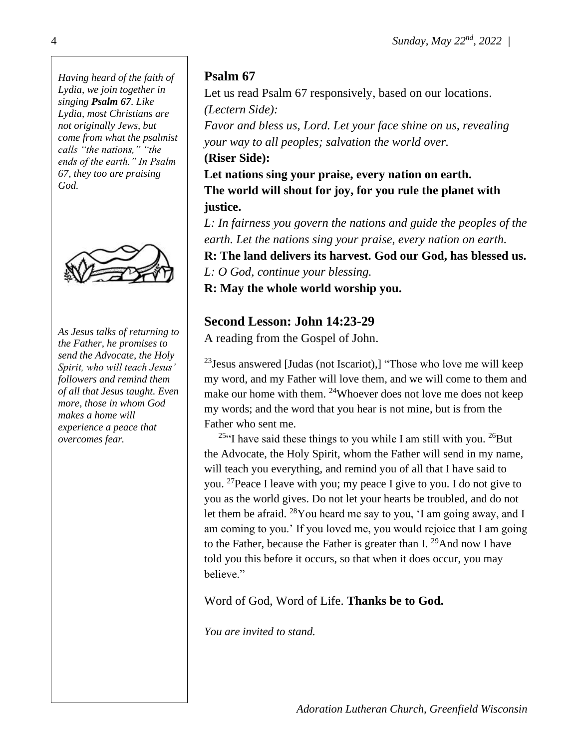*Having heard of the faith of Lydia, we join together in singing Psalm 67. Like Lydia, most Christians are not originally Jews, but come from what the psalmist calls "the nations," "the ends of the earth." In Psalm 67, they too are praising God.*



*As Jesus talks of returning to the Father, he promises to send the Advocate, the Holy Spirit, who will teach Jesus' followers and remind them of all that Jesus taught. Even more, those in whom God makes a home will experience a peace that overcomes fear.*

### **Psalm 67**

Let us read Psalm 67 responsively, based on our locations. *(Lectern Side):* 

*Favor and bless us, Lord. Let your face shine on us, revealing your way to all peoples; salvation the world over.* **(Riser Side):** 

**Let nations sing your praise, every nation on earth. The world will shout for joy, for you rule the planet with justice.**

*L: In fairness you govern the nations and guide the peoples of the earth. Let the nations sing your praise, every nation on earth.* **R: The land delivers its harvest. God our God, has blessed us.** 

*L: O God, continue your blessing.*

**R: May the whole world worship you.**

### **Second Lesson: John 14:23-29**

A reading from the Gospel of John.

 $23$  Jesus answered [Judas (not Iscariot),] "Those who love me will keep my word, and my Father will love them, and we will come to them and make our home with them. <sup>24</sup>Whoever does not love me does not keep my words; and the word that you hear is not mine, but is from the Father who sent me.

<sup>25"</sup>I have said these things to you while I am still with you. <sup>26</sup>But the Advocate, the Holy Spirit, whom the Father will send in my name, will teach you everything, and remind you of all that I have said to you. <sup>27</sup>Peace I leave with you; my peace I give to you. I do not give to you as the world gives. Do not let your hearts be troubled, and do not let them be afraid. <sup>28</sup>You heard me say to you, 'I am going away, and I am coming to you.' If you loved me, you would rejoice that I am going to the Father, because the Father is greater than I.  $^{29}$ And now I have told you this before it occurs, so that when it does occur, you may believe."

Word of God, Word of Life. **Thanks be to God.**

*You are invited to stand.*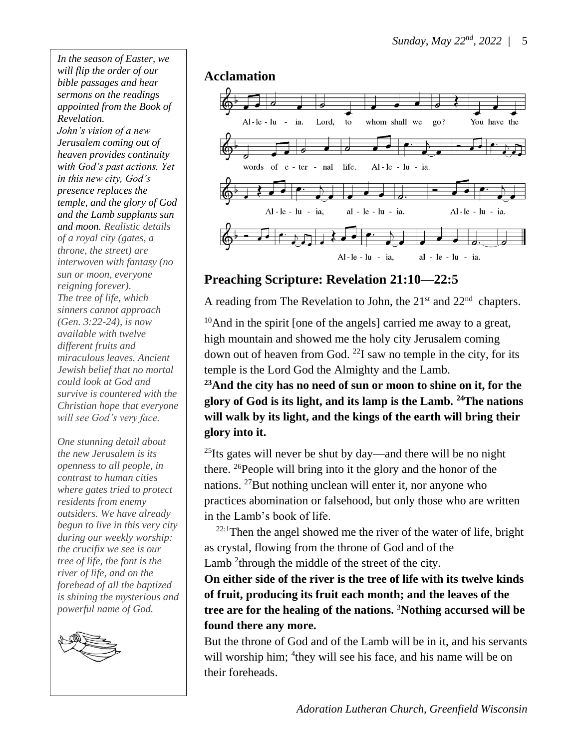*In the season of Easter, we will flip the order of our bible passages and hear sermons on the readings appointed from the Book of Revelation. John's vision of a new Jerusalem coming out of heaven provides continuity with God's past actions. Yet in this new city, God's presence replaces the temple, and the glory of God and the Lamb supplants sun and moon. Realistic details of a royal city (gates, a throne, the street) are interwoven with fantasy (no sun or moon, everyone reigning forever). The tree of life, which sinners cannot approach (Gen. 3:22-24), is now available with twelve different fruits and miraculous leaves. Ancient Jewish belief that no mortal could look at God and survive is countered with the Christian hope that everyone will see God's very face.*

*One stunning detail about the new Jerusalem is its openness to all people, in contrast to human cities where gates tried to protect residents from enemy outsiders. We have already begun to live in this very city during our weekly worship: the crucifix we see is our tree of life, the font is the river of life, and on the forehead of all the baptized is shining the mysterious and powerful name of God.*



#### **Acclamation**



#### **Preaching Scripture: Revelation 21:10—22:5**

A reading from The Revelation to John, the  $21<sup>st</sup>$  and  $22<sup>nd</sup>$  chapters.

 $10$ And in the spirit [one of the angels] carried me away to a great, high mountain and showed me the holy city Jerusalem coming down out of heaven from God.  $^{22}$ I saw no temple in the city, for its temple is the Lord God the Almighty and the Lamb.

**<sup>23</sup>And the city has no need of sun or moon to shine on it, for the glory of God is its light, and its lamp is the Lamb. <sup>24</sup>The nations will walk by its light, and the kings of the earth will bring their glory into it.**

 $^{25}$ Its gates will never be shut by day—and there will be no night there.  $^{26}$ People will bring into it the glory and the honor of the nations. <sup>27</sup>But nothing unclean will enter it, nor anyone who practices abomination or falsehood, but only those who are written in the Lamb's book of life.

 $22:1$ Then the angel showed me the river of the water of life, bright as crystal, flowing from the throne of God and of the Lamb<sup>2</sup> through the middle of the street of the city.

**On either side of the river is the tree of life with its twelve kinds of fruit, producing its fruit each month; and the leaves of the tree are for the healing of the nations.** <sup>3</sup>**Nothing accursed will be found there any more.**

But the throne of God and of the Lamb will be in it, and his servants will worship him; <sup>4</sup> they will see his face, and his name will be on their foreheads.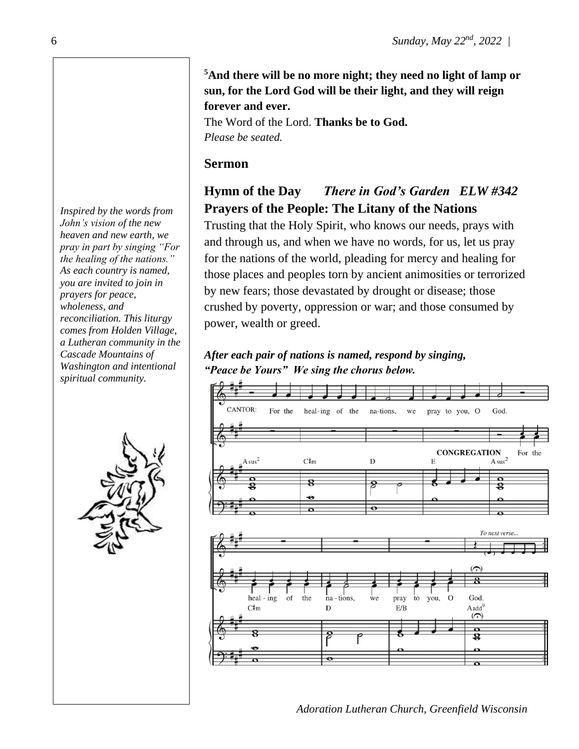**<sup>5</sup>And there will be no more night; they need no light of lamp or sun, for the Lord God will be their light, and they will reign forever and ever.**

The Word of the Lord. **Thanks be to God.** *Please be seated.* 

#### **Sermon**

## **Hymn of the Day** *There in God's Garden ELW #342* **Prayers of the People: The Litany of the Nations**

Trusting that the Holy Spirit, who knows our needs, prays with and through us, and when we have no words, for us, let us pray for the nations of the world, pleading for mercy and healing for those places and peoples torn by ancient animosities or terrorized by new fears; those devastated by drought or disease; those crushed by poverty, oppression or war; and those consumed by power, wealth or greed.

*After each pair of nations is named, respond by singing, "Peace be Yours" We sing the chorus below.* 



*Adoration Lutheran Church, Greenfield Wisconsin*

*Inspired by the words from John's vision of the new heaven and new earth, we pray in part by singing "For the healing of the nations." As each country is named, you are invited to join in prayers for peace, wholeness, and reconciliation. This liturgy comes from Holden Village, a Lutheran community in the Cascade Mountains of Washington and intentional spiritual community.*

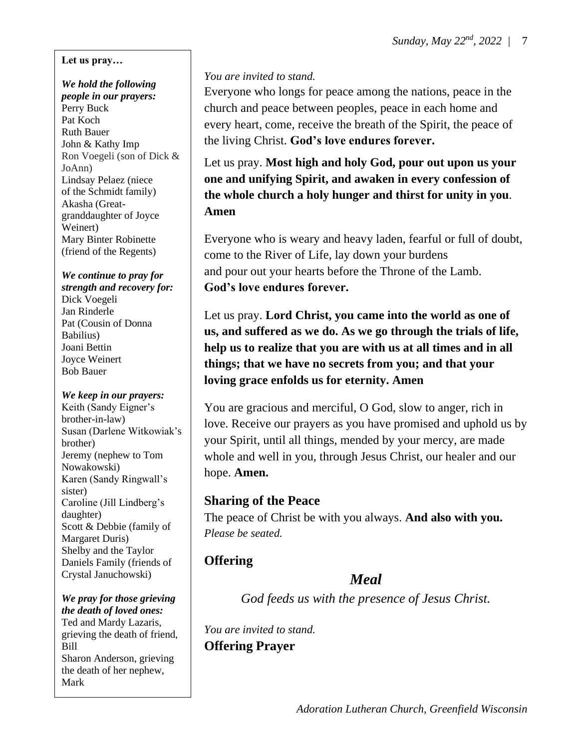#### **Let us pray…**

#### *We hold the following people in our prayers:* Perry Buck Pat Koch Ruth Bauer John & Kathy Imp Ron Voegeli (son of Dick & JoAnn) Lindsay Pelaez (niece of the Schmidt family) Akasha (Greatgranddaughter of Joyce Weinert) Mary Binter Robinette (friend of the Regents)

#### *We continue to pray for strength and recovery for:*

Dick Voegeli Jan Rinderle Pat (Cousin of Donna Babilius) Joani Bettin Joyce Weinert Bob Bauer

#### *We keep in our prayers:*

Keith (Sandy Eigner's brother-in-law) Susan (Darlene Witkowiak's brother) Jeremy (nephew to Tom Nowakowski) Karen (Sandy Ringwall's sister) Caroline (Jill Lindberg's daughter) Scott & Debbie (family of Margaret Duris) Shelby and the Taylor Daniels Family (friends of Crystal Januchowski)

*We pray for those grieving the death of loved ones:* Ted and Mardy Lazaris, grieving the death of friend, Bill Sharon Anderson, grieving the death of her nephew, Mark

#### *You are invited to stand.*

Everyone who longs for peace among the nations, peace in the church and peace between peoples, peace in each home and every heart, come, receive the breath of the Spirit, the peace of the living Christ. **God's love endures forever.**

Let us pray. **Most high and holy God, pour out upon us your one and unifying Spirit, and awaken in every confession of the whole church a holy hunger and thirst for unity in you**. **Amen**

Everyone who is weary and heavy laden, fearful or full of doubt, come to the River of Life, lay down your burdens and pour out your hearts before the Throne of the Lamb. **God's love endures forever.** 

Let us pray. **Lord Christ, you came into the world as one of us, and suffered as we do. As we go through the trials of life, help us to realize that you are with us at all times and in all things; that we have no secrets from you; and that your loving grace enfolds us for eternity. Amen**

You are gracious and merciful, O God, slow to anger, rich in love. Receive our prayers as you have promised and uphold us by your Spirit, until all things, mended by your mercy, are made whole and well in you, through Jesus Christ, our healer and our hope. **Amen.** 

#### **Sharing of the Peace**

The peace of Christ be with you always. **And also with you.** *Please be seated.*

## **Offering**

## *Meal*

*God feeds us with the presence of Jesus Christ.*

*You are invited to stand.* **Offering Prayer**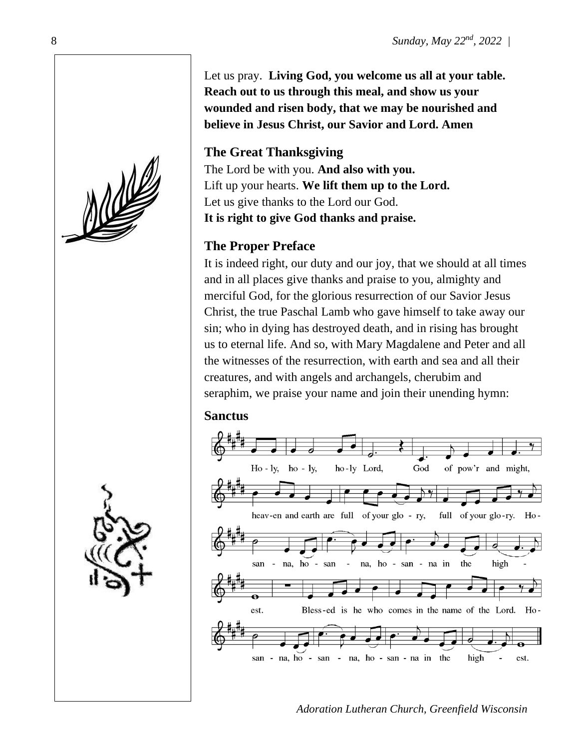Let us pray. **Living God, you welcome us all at your table. Reach out to us through this meal, and show us your wounded and risen body, that we may be nourished and believe in Jesus Christ, our Savior and Lord. Amen**

## **The Great Thanksgiving**

The Lord be with you. **And also with you.** Lift up your hearts. **We lift them up to the Lord.** Let us give thanks to the Lord our God. **It is right to give God thanks and praise.**

## **The Proper Preface**

It is indeed right, our duty and our joy, that we should at all times and in all places give thanks and praise to you, almighty and merciful God, for the glorious resurrection of our Savior Jesus Christ, the true Paschal Lamb who gave himself to take away our sin; who in dying has destroyed death, and in rising has brought us to eternal life. And so, with Mary Magdalene and Peter and all the witnesses of the resurrection, with earth and sea and all their creatures, and with angels and archangels, cherubim and seraphim, we praise your name and join their unending hymn:

#### **Sanctus**



*Adoration Lutheran Church, Greenfield Wisconsin*



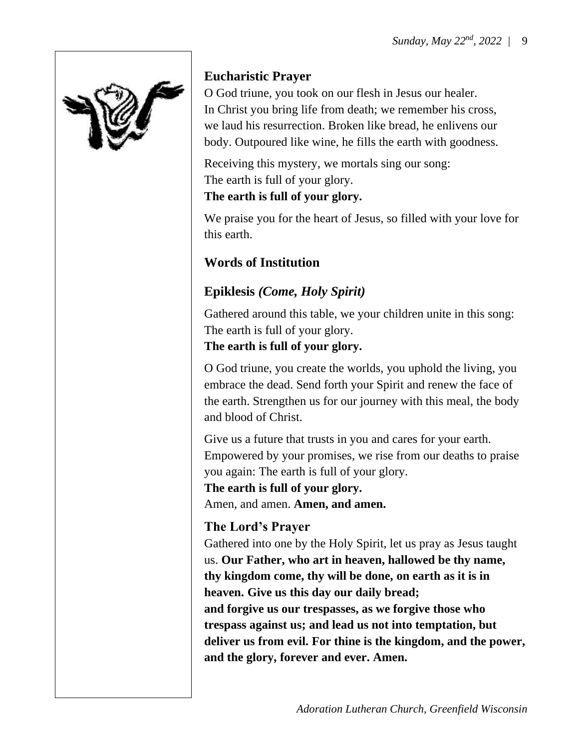

## **Eucharistic Prayer**

O God triune, you took on our flesh in Jesus our healer. In Christ you bring life from death; we remember his cross, we laud his resurrection. Broken like bread, he enlivens our body. Outpoured like wine, he fills the earth with goodness.

Receiving this mystery, we mortals sing our song: The earth is full of your glory. **The earth is full of your glory.**

We praise you for the heart of Jesus, so filled with your love for this earth.

# **Words of Institution**

# **Epiklesis** *(Come, Holy Spirit)*

Gathered around this table, we your children unite in this song: The earth is full of your glory.

#### **The earth is full of your glory.**

O God triune, you create the worlds, you uphold the living, you embrace the dead. Send forth your Spirit and renew the face of the earth. Strengthen us for our journey with this meal, the body and blood of Christ.

Give us a future that trusts in you and cares for your earth. Empowered by your promises, we rise from our deaths to praise you again: The earth is full of your glory.

**The earth is full of your glory.** Amen, and amen. **Amen, and amen.**

# **The Lord's Prayer**

Gathered into one by the Holy Spirit, let us pray as Jesus taught us. **Our Father, who art in heaven, hallowed be thy name, thy kingdom come, thy will be done, on earth as it is in heaven. Give us this day our daily bread; and forgive us our trespasses, as we forgive those who trespass against us; and lead us not into temptation, but deliver us from evil. For thine is the kingdom, and the power, and the glory, forever and ever. Amen.**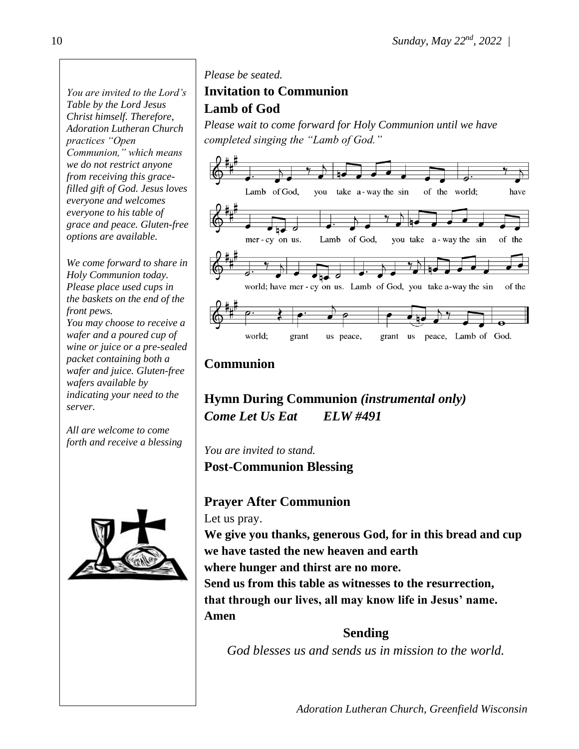*You are invited to the Lord's Table by the Lord Jesus Christ himself. Therefore, Adoration Lutheran Church practices "Open Communion," which means we do not restrict anyone from receiving this gracefilled gift of God. Jesus loves everyone and welcomes everyone to his table of grace and peace. Gluten-free options are available.*

*We come forward to share in Holy Communion today. Please place used cups in the baskets on the end of the front pews.*

*You may choose to receive a wafer and a poured cup of wine or juice or a pre-sealed packet containing both a wafer and juice. Gluten-free wafers available by indicating your need to the server.*

*All are welcome to come forth and receive a blessing*



#### *Please be seated.*

#### **Invitation to Communion Lamb of God**

*Please wait to come forward for Holy Communion until we have completed singing the "Lamb of God."*



#### **Communion**

**Hymn During Communion** *(instrumental only) Come Let Us Eat ELW #491*

*You are invited to stand.* **Post-Communion Blessing**

#### **Prayer After Communion**

Let us pray.

**We give you thanks, generous God, for in this bread and cup we have tasted the new heaven and earth** 

**where hunger and thirst are no more.**

**Send us from this table as witnesses to the resurrection,** 

**that through our lives, all may know life in Jesus' name. Amen**

**Sending** *God blesses us and sends us in mission to the world.*

*Adoration Lutheran Church, Greenfield Wisconsin*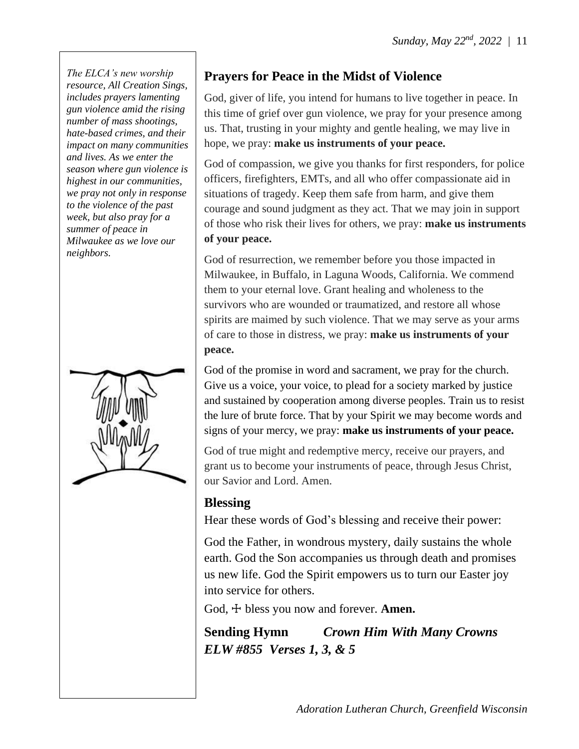*The ELCA's new worship resource, All Creation Sings, includes prayers lamenting gun violence amid the rising number of mass shootings, hate-based crimes, and their impact on many communities and lives. As we enter the season where gun violence is highest in our communities, we pray not only in response to the violence of the past week, but also pray for a summer of peace in Milwaukee as we love our neighbors.*



## **Prayers for Peace in the Midst of Violence**

God, giver of life, you intend for humans to live together in peace. In this time of grief over gun violence, we pray for your presence among us. That, trusting in your mighty and gentle healing, we may live in hope, we pray: **make us instruments of your peace.**

God of compassion, we give you thanks for first responders, for police officers, firefighters, EMTs, and all who offer compassionate aid in situations of tragedy. Keep them safe from harm, and give them courage and sound judgment as they act. That we may join in support of those who risk their lives for others, we pray: **make us instruments of your peace.**

God of resurrection, we remember before you those impacted in Milwaukee, in Buffalo, in Laguna Woods, California. We commend them to your eternal love. Grant healing and wholeness to the survivors who are wounded or traumatized, and restore all whose spirits are maimed by such violence. That we may serve as your arms of care to those in distress, we pray: **make us instruments of your peace.**

God of the promise in word and sacrament, we pray for the church. Give us a voice, your voice, to plead for a society marked by justice and sustained by cooperation among diverse peoples. Train us to resist the lure of brute force. That by your Spirit we may become words and signs of your mercy, we pray: **make us instruments of your peace.**

God of true might and redemptive mercy, receive our prayers, and grant us to become your instruments of peace, through Jesus Christ, our Savior and Lord. Amen.

#### **Blessing**

Hear these words of God's blessing and receive their power:

God the Father, in wondrous mystery, daily sustains the whole earth. God the Son accompanies us through death and promises us new life. God the Spirit empowers us to turn our Easter joy into service for others.

God,  $\pm$  bless you now and forever. **Amen.** 

**Sending Hymn** *Crown Him With Many Crowns ELW #855 Verses 1, 3, & 5*